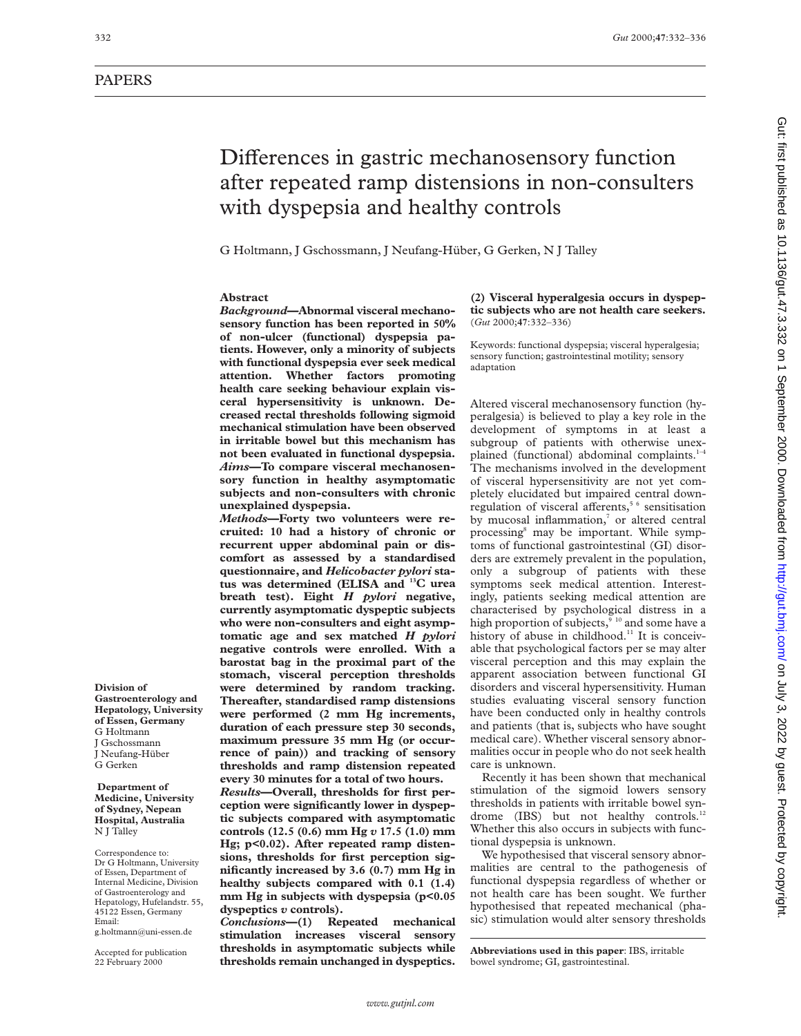# PAPERS

# Differences in gastric mechanosensory function after repeated ramp distensions in non-consulters with dyspepsia and healthy controls

G Holtmann, J Gschossmann, J Neufang-Hüber, G Gerken, N J Talley

# **Abstract**

*Background***—Abnormal visceral mechanosensory function has been reported in 50% of non-ulcer (functional) dyspepsia patients. However, only a minority of subjects with functional dyspepsia ever seek medical attention. Whether factors promoting health care seeking behaviour explain visceral hypersensitivity is unknown. Decreased rectal thresholds following sigmoid mechanical stimulation have been observed in irritable bowel but this mechanism has not been evaluated in functional dyspepsia.** *Aims***—To compare visceral mechanosensory function in healthy asymptomatic subjects and non-consulters with chronic unexplained dyspepsia.**

*Methods***—Forty two volunteers were recruited: 10 had a history of chronic or recurrent upper abdominal pain or discomfort as assessed by a standardised questionnaire, and** *Helicobacter pylori* **status was determined (ELISA and 13C urea breath test). Eight** *H pylori* **negative, currently asymptomatic dyspeptic subjects who were non-consulters and eight asymptomatic age and sex matched** *H pylori* **negative controls were enrolled. With a barostat bag in the proximal part of the stomach, visceral perception thresholds were determined by random tracking. Thereafter, standardised ramp distensions were performed (2 mm Hg increments, duration of each pressure step 30 seconds, maximum pressure 35 mm Hg (or occurrence of pain)) and tracking of sensory thresholds and ramp distension repeated every 30 minutes for a total of two hours.**

*Results***—Overall, thresholds for first perception were significantly lower in dyspeptic subjects compared with asymptomatic controls (12.5 (0.6) mm Hg** *v* **17.5 (1.0) mm Hg; p<0.02). After repeated ramp distensions, thresholds for first perception significantly increased by 3.6 (0.7) mm Hg in healthy subjects compared with 0.1 (1.4) mm Hg in subjects with dyspepsia (p<0.05 dyspeptics** *v* **controls).**

*Conclusions***—(1) Repeated mechanical stimulation increases visceral sensory thresholds in asymptomatic subjects while thresholds remain unchanged in dyspeptics.** **(2) Visceral hyperalgesia occurs in dyspeptic subjects who are not health care seekers.** (*Gut* 2000;**47**:332–336)

Keywords: functional dyspepsia; visceral hyperalgesia; sensory function; gastrointestinal motility; sensory adaptation

Altered visceral mechanosensory function (hyperalgesia) is believed to play a key role in the development of symptoms in at least a subgroup of patients with otherwise unexplained (functional) abdominal complaints.<sup>1-4</sup> The mechanisms involved in the development of visceral hypersensitivity are not yet completely elucidated but impaired central downregulation of visceral afferents,<sup>5  $6$ </sup> sensitisation by mucosal inflammation, or altered central processing8 may be important. While symptoms of functional gastrointestinal (GI) disorders are extremely prevalent in the population, only a subgroup of patients with these symptoms seek medical attention. Interestingly, patients seeking medical attention are characterised by psychological distress in a high proportion of subjects,<sup>910</sup> and some have a history of abuse in childhood.<sup>11</sup> It is conceivable that psychological factors per se may alter visceral perception and this may explain the apparent association between functional GI disorders and visceral hypersensitivity. Human studies evaluating visceral sensory function have been conducted only in healthy controls and patients (that is, subjects who have sought medical care). Whether visceral sensory abnormalities occur in people who do not seek health care is unknown.

Recently it has been shown that mechanical stimulation of the sigmoid lowers sensory thresholds in patients with irritable bowel syndrome (IBS) but not healthy controls.<sup>12</sup> Whether this also occurs in subjects with functional dyspepsia is unknown.

We hypothesised that visceral sensory abnormalities are central to the pathogenesis of functional dyspepsia regardless of whether or not health care has been sought. We further hypothesised that repeated mechanical (phasic) stimulation would alter sensory thresholds

**Abbreviations used in this paper**: IBS, irritable bowel syndrome; GI, gastrointestinal.

**Division of Gastroenterology and**

**Hepatology, University of Essen, Germany** G Holtmann J Gschossmann J Neufang-Hüber

G Gerken

#### **Department of Medicine, University of Sydney, Nepean Hospital, Australia** N J Talley

Correspondence to: Dr G Holtmann, University of Essen, Department of Internal Medicine, Division of Gastroenterology and Hepatology, Hufelandstr. 55, 45122 Essen, Germany Email: g.holtmann@uni-essen.de

Accepted for publication 22 February 2000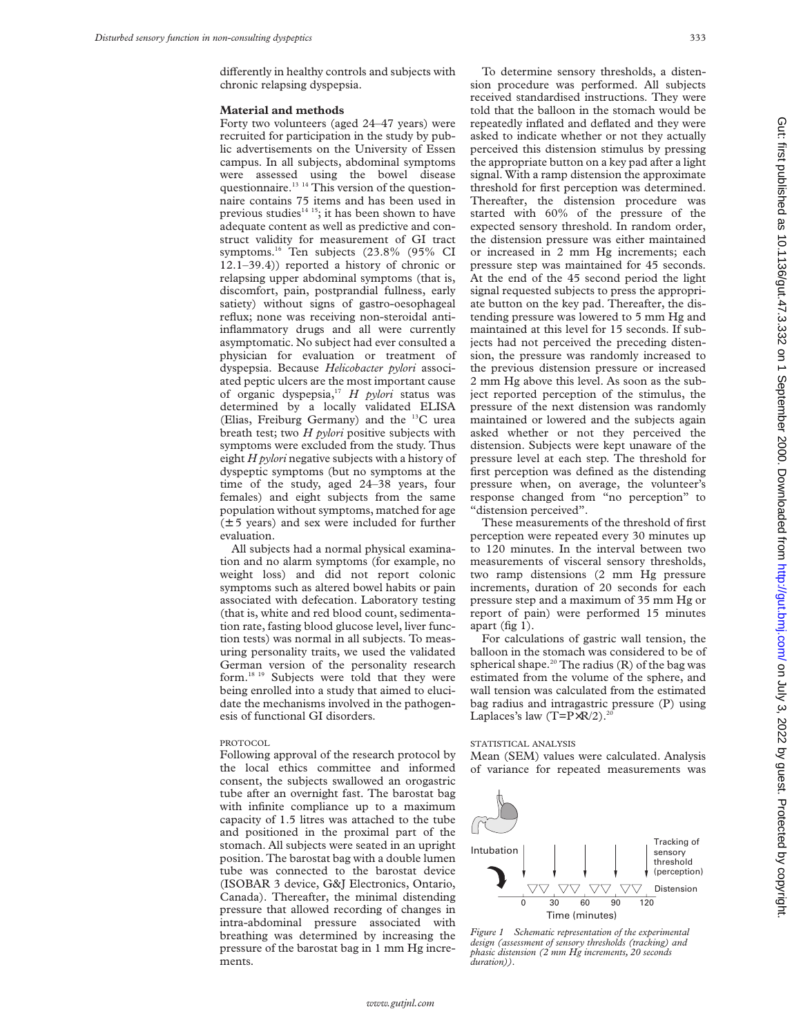differently in healthy controls and subjects with chronic relapsing dyspepsia.

#### **Material and methods**

Forty two volunteers (aged 24–47 years) were recruited for participation in the study by public advertisements on the University of Essen campus. In all subjects, abdominal symptoms were assessed using the bowel disease questionnaire.<sup>13 14</sup> This version of the questionnaire contains 75 items and has been used in previous studies<sup>14 15</sup>; it has been shown to have adequate content as well as predictive and construct validity for measurement of GI tract symptoms.16 Ten subjects (23.8% (95% CI 12.1–39.4)) reported a history of chronic or relapsing upper abdominal symptoms (that is, discomfort, pain, postprandial fullness, early satiety) without signs of gastro-oesophageal reflux; none was receiving non-steroidal antiinflammatory drugs and all were currently asymptomatic. No subject had ever consulted a physician for evaluation or treatment of dyspepsia. Because *Helicobacter pylori* associated peptic ulcers are the most important cause of organic dyspepsia,17 *H pylori* status was determined by a locally validated ELISA (Elias, Freiburg Germany) and the 13C urea breath test; two *H pylori* positive subjects with symptoms were excluded from the study. Thus eight *H pylori* negative subjects with a history of dyspeptic symptoms (but no symptoms at the time of the study, aged 24–38 years, four females) and eight subjects from the same population without symptoms, matched for age (± 5 years) and sex were included for further evaluation.

All subjects had a normal physical examination and no alarm symptoms (for example, no weight loss) and did not report colonic symptoms such as altered bowel habits or pain associated with defecation. Laboratory testing (that is, white and red blood count, sedimentation rate, fasting blood glucose level, liver function tests) was normal in all subjects. To measuring personality traits, we used the validated German version of the personality research form.18 19 Subjects were told that they were being enrolled into a study that aimed to elucidate the mechanisms involved in the pathogenesis of functional GI disorders.

#### PROTOCOL

Following approval of the research protocol by the local ethics committee and informed consent, the subjects swallowed an orogastric tube after an overnight fast. The barostat bag with infinite compliance up to a maximum capacity of 1.5 litres was attached to the tube and positioned in the proximal part of the stomach. All subjects were seated in an upright position. The barostat bag with a double lumen tube was connected to the barostat device (ISOBAR 3 device, G&J Electronics, Ontario, Canada). Thereafter, the minimal distending pressure that allowed recording of changes in intra-abdominal pressure associated with breathing was determined by increasing the pressure of the barostat bag in 1 mm Hg increments.

To determine sensory thresholds, a distension procedure was performed. All subjects received standardised instructions. They were told that the balloon in the stomach would be repeatedly inflated and deflated and they were asked to indicate whether or not they actually perceived this distension stimulus by pressing the appropriate button on a key pad after a light signal. With a ramp distension the approximate threshold for first perception was determined. Thereafter, the distension procedure was started with 60% of the pressure of the expected sensory threshold. In random order, the distension pressure was either maintained or increased in 2 mm Hg increments; each pressure step was maintained for 45 seconds. At the end of the 45 second period the light signal requested subjects to press the appropriate button on the key pad. Thereafter, the distending pressure was lowered to 5 mm Hg and maintained at this level for 15 seconds. If subjects had not perceived the preceding distension, the pressure was randomly increased to the previous distension pressure or increased 2 mm Hg above this level. As soon as the subject reported perception of the stimulus, the pressure of the next distension was randomly maintained or lowered and the subjects again asked whether or not they perceived the distension. Subjects were kept unaware of the pressure level at each step. The threshold for first perception was defined as the distending pressure when, on average, the volunteer's response changed from "no perception" to "distension perceived".

These measurements of the threshold of first perception were repeated every 30 minutes up to 120 minutes. In the interval between two measurements of visceral sensory thresholds, two ramp distensions (2 mm Hg pressure increments, duration of 20 seconds for each pressure step and a maximum of 35 mm Hg or report of pain) were performed 15 minutes apart (fig 1).

For calculations of gastric wall tension, the balloon in the stomach was considered to be of spherical shape.<sup>20</sup> The radius  $(R)$  of the bag was estimated from the volume of the sphere, and wall tension was calculated from the estimated bag radius and intragastric pressure (P) using Laplaces's law  $(T= P \times R/2)$ .<sup>20</sup>

#### STATISTICAL ANALYSIS

Mean (SEM) values were calculated. Analysis of variance for repeated measurements was



*Figure 1 Schematic representation of the experimental design (assessment of sensory thresholds (tracking) and phasic distension (2 mm Hg increments, 20 seconds duration)).*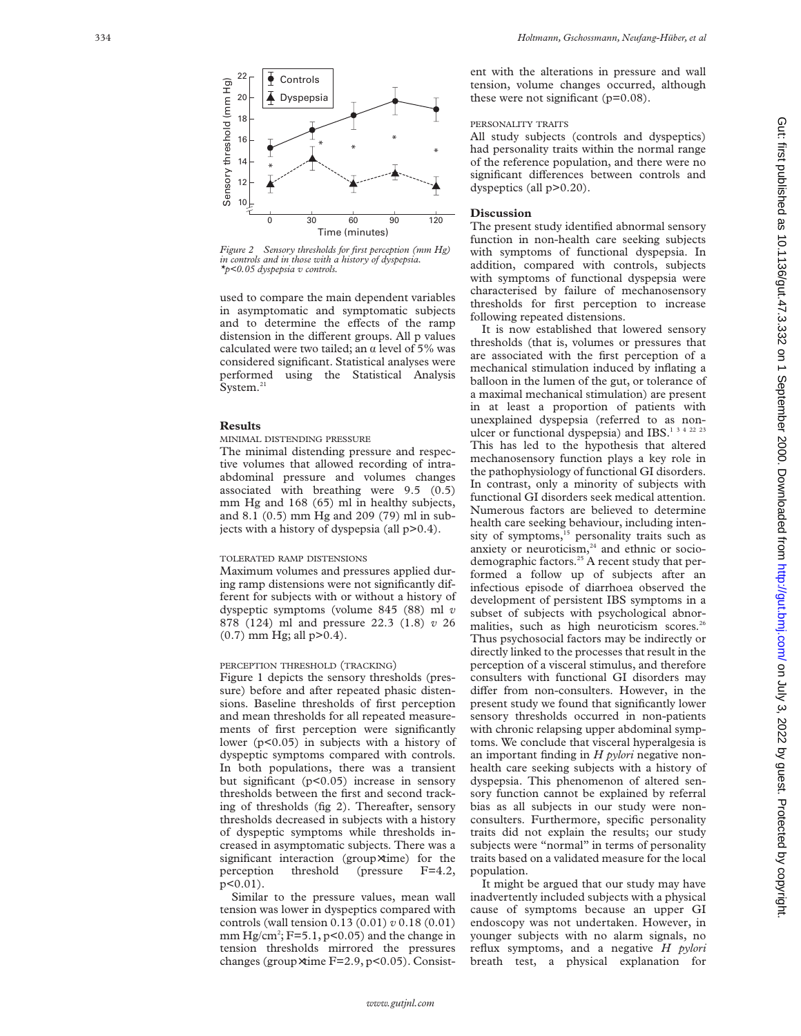

*Figure 2 Sensory thresholds for first perception (mm Hg) in controls and in those with a history of dyspepsia.*

used to compare the main dependent variables in asymptomatic and symptomatic subjects and to determine the effects of the ramp distension in the different groups. All p values calculated were two tailed; an  $\alpha$  level of 5% was considered significant. Statistical analyses were performed using the Statistical Analysis System.<sup>21</sup>

## **Results**

## MINIMAL DISTENDING PRESSURE

The minimal distending pressure and respective volumes that allowed recording of intraabdominal pressure and volumes changes associated with breathing were 9.5 (0.5) mm Hg and 168 (65) ml in healthy subjects, and 8.1 (0.5) mm Hg and 209 (79) ml in subjects with a history of dyspepsia (all p>0.4).

#### TOLERATED RAMP DISTENSIONS

Maximum volumes and pressures applied during ramp distensions were not significantly different for subjects with or without a history of dyspeptic symptoms (volume 845 (88) ml *v* 878 (124) ml and pressure 22.3 (1.8) *v* 26  $(0.7)$  mm Hg; all  $p > 0.4$ ).

### PERCEPTION THRESHOLD (TRACKING)

Figure 1 depicts the sensory thresholds (pressure) before and after repeated phasic distensions. Baseline thresholds of first perception and mean thresholds for all repeated measurements of first perception were significantly lower (p<0.05) in subjects with a history of dyspeptic symptoms compared with controls. In both populations, there was a transient but significant (p<0.05) increase in sensory thresholds between the first and second tracking of thresholds (fig 2). Thereafter, sensory thresholds decreased in subjects with a history of dyspeptic symptoms while thresholds increased in asymptomatic subjects. There was a significant interaction (group×time) for the perception threshold (pressure F=4.2, p<0.01).

Similar to the pressure values, mean wall tension was lower in dyspeptics compared with controls (wall tension 0.13 (0.01) *v* 0.18 (0.01) mm  $Hg/cm^2$ ; F=5.1, p<0.05) and the change in tension thresholds mirrored the pressures changes (group ×time F=2.9, p<0.05). Consistent with the alterations in pressure and wall tension, volume changes occurred, although these were not significant  $(p=0.08)$ .

# PERSONALITY TRAITS

All study subjects (controls and dyspeptics) had personality traits within the normal range of the reference population, and there were no significant differences between controls and dyspeptics (all p>0.20).

# **Discussion**

The present study identified abnormal sensory function in non-health care seeking subjects with symptoms of functional dyspepsia. In addition, compared with controls, subjects with symptoms of functional dyspepsia were characterised by failure of mechanosensory thresholds for first perception to increase following repeated distensions.

It is now established that lowered sensory thresholds (that is, volumes or pressures that are associated with the first perception of a mechanical stimulation induced by inflating a balloon in the lumen of the gut, or tolerance of a maximal mechanical stimulation) are present in at least a proportion of patients with unexplained dyspepsia (referred to as nonulcer or functional dyspepsia) and IBS.<sup>1342223</sup> This has led to the hypothesis that altered mechanosensory function plays a key role in the pathophysiology of functional GI disorders. In contrast, only a minority of subjects with functional GI disorders seek medical attention. Numerous factors are believed to determine health care seeking behaviour, including intensity of symptoms, $15$  personality traits such as anxiety or neuroticism, $24$  and ethnic or sociodemographic factors.<sup>25</sup> A recent study that performed a follow up of subjects after an infectious episode of diarrhoea observed the development of persistent IBS symptoms in a subset of subjects with psychological abnormalities, such as high neuroticism scores.<sup>26</sup> Thus psychosocial factors may be indirectly or directly linked to the processes that result in the perception of a visceral stimulus, and therefore consulters with functional GI disorders may differ from non-consulters. However, in the present study we found that significantly lower sensory thresholds occurred in non-patients with chronic relapsing upper abdominal symptoms. We conclude that visceral hyperalgesia is an important finding in *H pylori* negative nonhealth care seeking subjects with a history of dyspepsia. This phenomenon of altered sensory function cannot be explained by referral bias as all subjects in our study were nonconsulters. Furthermore, specific personality traits did not explain the results; our study subjects were "normal" in terms of personality traits based on a validated measure for the local population.

It might be argued that our study may have inadvertently included subjects with a physical cause of symptoms because an upper GI endoscopy was not undertaken. However, in younger subjects with no alarm signals, no reflux symptoms, and a negative *H pylori* breath test, a physical explanation for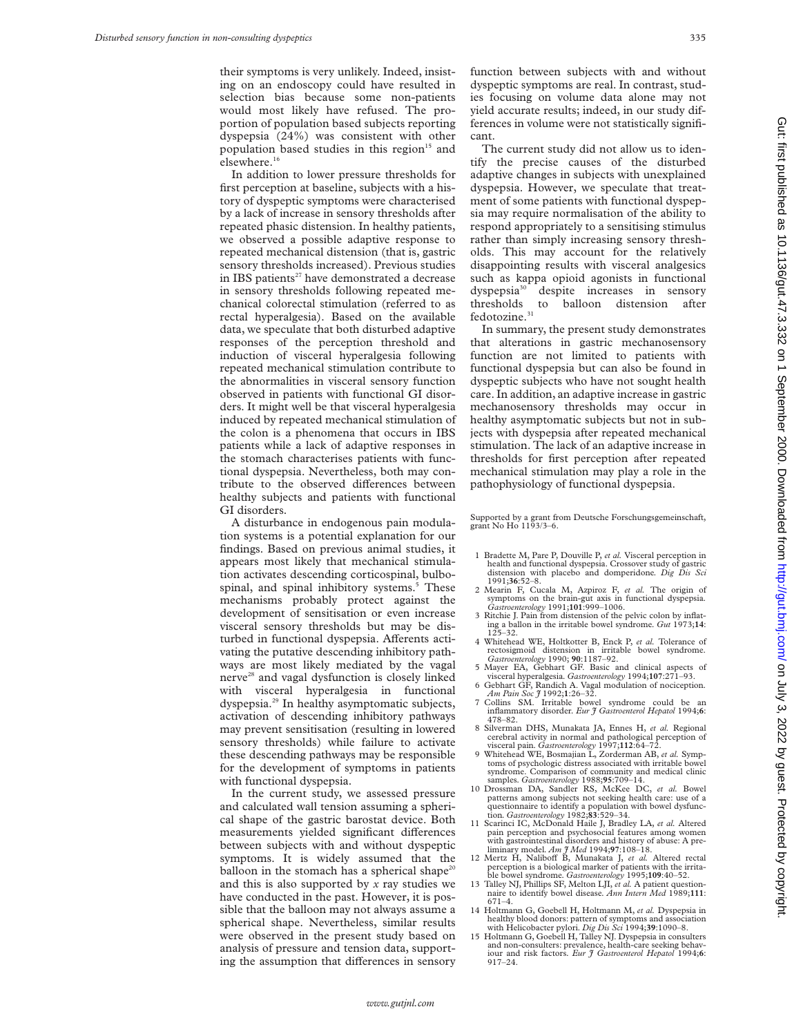their symptoms is very unlikely. Indeed, insisting on an endoscopy could have resulted in selection bias because some non-patients would most likely have refused. The proportion of population based subjects reporting dyspepsia (24%) was consistent with other population based studies in this region<sup>15</sup> and elsewhere.<sup>16</sup>

In addition to lower pressure thresholds for first perception at baseline, subjects with a history of dyspeptic symptoms were characterised by a lack of increase in sensory thresholds after repeated phasic distension. In healthy patients, we observed a possible adaptive response to repeated mechanical distension (that is, gastric sensory thresholds increased). Previous studies in IBS patients $27$  have demonstrated a decrease in sensory thresholds following repeated mechanical colorectal stimulation (referred to as rectal hyperalgesia). Based on the available data, we speculate that both disturbed adaptive responses of the perception threshold and induction of visceral hyperalgesia following repeated mechanical stimulation contribute to the abnormalities in visceral sensory function observed in patients with functional GI disorders. It might well be that visceral hyperalgesia induced by repeated mechanical stimulation of the colon is a phenomena that occurs in IBS patients while a lack of adaptive responses in the stomach characterises patients with functional dyspepsia. Nevertheless, both may contribute to the observed differences between healthy subjects and patients with functional GI disorders.

A disturbance in endogenous pain modulation systems is a potential explanation for our findings. Based on previous animal studies, it appears most likely that mechanical stimulation activates descending corticospinal, bulbospinal, and spinal inhibitory systems.<sup>5</sup> These mechanisms probably protect against the development of sensitisation or even increase visceral sensory thresholds but may be disturbed in functional dyspepsia. Afferents activating the putative descending inhibitory pathways are most likely mediated by the vagal nerve<sup>28</sup> and vagal dysfunction is closely linked with visceral hyperalgesia in functional dyspepsia.29 In healthy asymptomatic subjects, activation of descending inhibitory pathways may prevent sensitisation (resulting in lowered sensory thresholds) while failure to activate these descending pathways may be responsible for the development of symptoms in patients with functional dyspepsia.

In the current study, we assessed pressure and calculated wall tension assuming a spherical shape of the gastric barostat device. Both measurements yielded significant differences between subjects with and without dyspeptic symptoms. It is widely assumed that the balloon in the stomach has a spherical shape<sup>20</sup> and this is also supported by *x* ray studies we have conducted in the past. However, it is possible that the balloon may not always assume a spherical shape. Nevertheless, similar results were observed in the present study based on analysis of pressure and tension data, supporting the assumption that differences in sensory

function between subjects with and without dyspeptic symptoms are real. In contrast, studies focusing on volume data alone may not yield accurate results; indeed, in our study differences in volume were not statistically significant.

The current study did not allow us to identify the precise causes of the disturbed adaptive changes in subjects with unexplained dyspepsia. However, we speculate that treatment of some patients with functional dyspepsia may require normalisation of the ability to respond appropriately to a sensitising stimulus rather than simply increasing sensory thresholds. This may account for the relatively disappointing results with visceral analgesics such as kappa opioid agonists in functional dyspepsia30 despite increases in sensory thresholds to balloon distension after fedotozine. $^{\rm 31}$ 

In summary, the present study demonstrates that alterations in gastric mechanosensory function are not limited to patients with functional dyspepsia but can also be found in dyspeptic subjects who have not sought health care. In addition, an adaptive increase in gastric mechanosensory thresholds may occur in healthy asymptomatic subjects but not in subjects with dyspepsia after repeated mechanical stimulation. The lack of an adaptive increase in thresholds for first perception after repeated mechanical stimulation may play a role in the pathophysiology of functional dyspepsia.

Supported by a grant from Deutsche Forschungsgemeinschaft, grant No Ho 1193/3–6.

- 1 Bradette M, Pare P, Douville P, *et al.* Visceral perception in health and functional dyspepsia. Crossover study of gastric distension with placebo and domperidone*. Dig Dis Sci* 1991;**36**:52–8.
- 2 Mearin F, Cucala M, Azpiroz F, *et al.* The origin of symptoms on the brain-gut axis in functional dyspepsia*. Gastroenterology* 1991;**101**:999–1006.
- 3 Ritchie J. Pain from distension of the pelvic colon by inflat-ing a ballon in the irritable bowel syndrome*. Gut* 1973;**14**: 125–32.
- 4 Whitehead WE, Holtkotter B, Enck P, *et al.* Tolerance of rectosigmoid distension in irritable bowel syndrome. rectosigmoid distension in irritable bowel syndrome*. Gastroenterology* 1990; **<sup>90</sup>**:1187–92. 5 Mayer EA, Gebhart GF. Basic and clinical aspects of
- visceral hyperalgesia*. Gastroenterology* 1994;**107**:271–93.
- 6 Gebhart GF, Randich A. Vagal modulation of nociception*. Am Pain Soc J* 1992;**1**:26–32.
- 7 Collins SM. Irritable bowel syndrome could be an inflammatory disorder*. Eur J Gastroenterol Hepatol* 1994;**6**: 478–82.
- 8 Silverman DHS, Munakata JA, Ennes H, *et al.* Regional cerebral activity in normal and pathological perception of visceral pain*. Gastroenterology* 1997;**112**:64–72.
- 9 Whitehead WE, Bosmajian L, Zorderman AB, *et al.* Symptoms of psychologic distress associated with irritable bowel syndrome. Comparison of community and medical clinic samples*. Gastroenterology* 1988;**95**:709–14.
- 10 Drossman DA, Sandler RS, McKee DC, *et al.* Bowel patterns among subjects not seeking health care: use of a questionnaire to identify a population with bowel dysfunc-tion*. Gastroenterology* 1982;**83**:529–34.
- 11 Scarinci IC, McDonald Haile J, Bradley LA, *et al.* Altered pain perception and psychosocial features among women with gastrointestinal disorders and history of abuse: A preliminary model*. Am J Med* 1994;**97**:108–18.
- 12 Mertz H, Naliboff B, Munakata J, et al. Altered rectal perception is a biological marker of patients with the irrita-<br>ble bowel syndrome. *Gastroenterology* 1995;**109**:40–52.<br>13 Talley NJ, Phillips SF, Melton LJI, *et al*. A patient question-
- naire to identify bowel disease*. Ann Intern Med* 1989;**111**: 671–4.
- 14 Holtmann G, Goebell H, Holtmann M, *et al.* Dyspepsia in healthy blood donors: pattern of symptoms and association with Helicobacter pylori*. Dig Dis Sci* 1994;**39**:1090–8. 15 Holtmann G, Goebell H, Talley NJ. Dyspepsia in consulters
- and non-consulters: prevalence, health-care seeking behaviour and risk factors*. Eur J Gastroenterol Hepatol* 1994;**6**: 917–24.